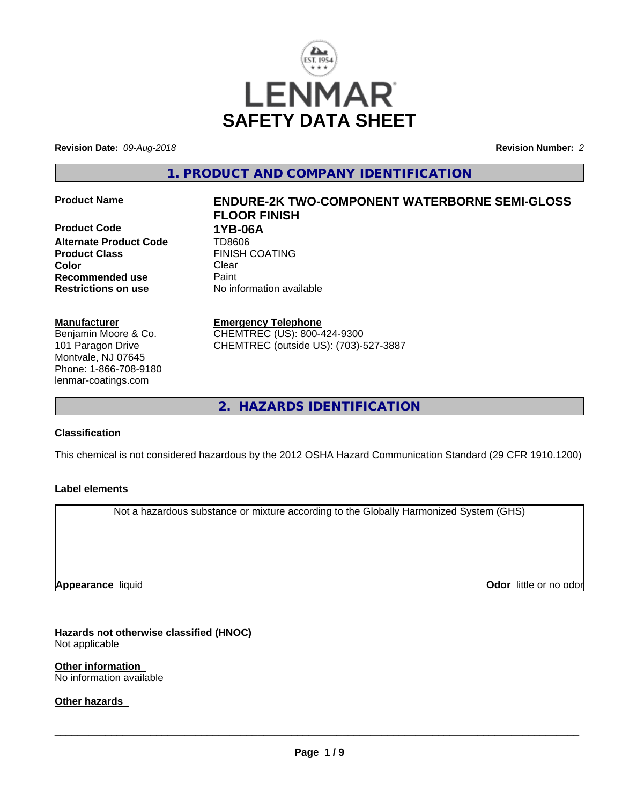

**Revision Date:** *09-Aug-2018* **Revision Number:** *2*

**1. PRODUCT AND COMPANY IDENTIFICATION**

**Product Code 1YB-06A Alternate Product Code** TD8606 **Product Class** FINISH COATING **Color** Clear Clear **Recommended use** Paint **Restrictions on use** No information available

#### **Manufacturer**

Benjamin Moore & Co. 101 Paragon Drive Montvale, NJ 07645 Phone: 1-866-708-9180 lenmar-coatings.com

# **Product Name ENDURE-2K TWO-COMPONENT WATERBORNE SEMI-GLOSS FLOOR FINISH**

**Emergency Telephone**

CHEMTREC (US): 800-424-9300 CHEMTREC (outside US): (703)-527-3887

**2. HAZARDS IDENTIFICATION**

#### **Classification**

This chemical is not considered hazardous by the 2012 OSHA Hazard Communication Standard (29 CFR 1910.1200)

#### **Label elements**

Not a hazardous substance or mixture according to the Globally Harmonized System (GHS)

**Appearance** liquid

**Odor** little or no odor

**Hazards not otherwise classified (HNOC)** Not applicable

**Other information** No information available

**Other hazards**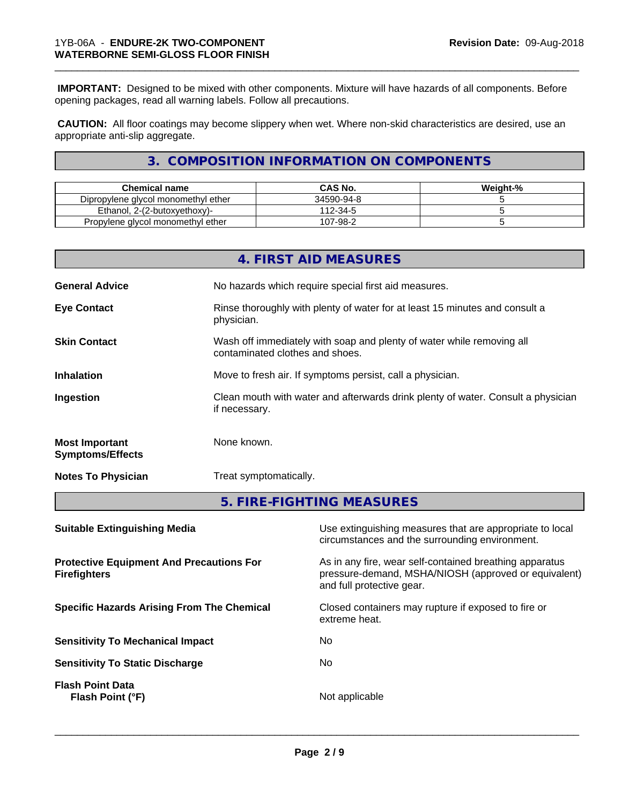**IMPORTANT:** Designed to be mixed with other components. Mixture will have hazards of all components. Before opening packages, read all warning labels. Follow all precautions.

\_\_\_\_\_\_\_\_\_\_\_\_\_\_\_\_\_\_\_\_\_\_\_\_\_\_\_\_\_\_\_\_\_\_\_\_\_\_\_\_\_\_\_\_\_\_\_\_\_\_\_\_\_\_\_\_\_\_\_\_\_\_\_\_\_\_\_\_\_\_\_\_\_\_\_\_\_\_\_\_\_\_\_\_\_\_\_\_\_\_\_\_\_

 **CAUTION:** All floor coatings may become slippery when wet. Where non-skid characteristics are desired, use an appropriate anti-slip aggregate.

#### **3. COMPOSITION INFORMATION ON COMPONENTS**

| Chemical name                       | <b>CAS No.</b> | Weight-% |
|-------------------------------------|----------------|----------|
| Dipropylene glycol monomethyl ether | 34590-94-8     |          |
| Ethanol. 2-(2-butoxyethoxy)-        | 112-34-5       |          |
| Propylene gives monomethyl ether    | 107-98-2       |          |

|                                                                        |               | 4. FIRST AID MEASURES                                                                                                                        |  |  |
|------------------------------------------------------------------------|---------------|----------------------------------------------------------------------------------------------------------------------------------------------|--|--|
| <b>General Advice</b>                                                  |               | No hazards which require special first aid measures.                                                                                         |  |  |
| <b>Eye Contact</b>                                                     | physician.    | Rinse thoroughly with plenty of water for at least 15 minutes and consult a                                                                  |  |  |
| <b>Skin Contact</b>                                                    |               | Wash off immediately with soap and plenty of water while removing all<br>contaminated clothes and shoes.                                     |  |  |
| <b>Inhalation</b>                                                      |               | Move to fresh air. If symptoms persist, call a physician.                                                                                    |  |  |
| Ingestion                                                              | if necessary. | Clean mouth with water and afterwards drink plenty of water. Consult a physician                                                             |  |  |
| <b>Most Important</b><br><b>Symptoms/Effects</b>                       | None known.   |                                                                                                                                              |  |  |
| <b>Notes To Physician</b>                                              |               | Treat symptomatically.                                                                                                                       |  |  |
|                                                                        |               | 5. FIRE-FIGHTING MEASURES                                                                                                                    |  |  |
| <b>Suitable Extinguishing Media</b>                                    |               | Use extinguishing measures that are appropriate to local<br>circumstances and the surrounding environment.                                   |  |  |
| <b>Protective Equipment And Precautions For</b><br><b>Firefighters</b> |               | As in any fire, wear self-contained breathing apparatus<br>pressure-demand, MSHA/NIOSH (approved or equivalent)<br>and full protective gear. |  |  |

**Sensitivity To Mechanical Impact** No

**Sensitivity To Static Discharge** No

**Flash Point Data Flash Point (°F)** Not applicable

**Specific Hazards Arising From The Chemical Closed containers may rupture if exposed to fire or** extreme heat.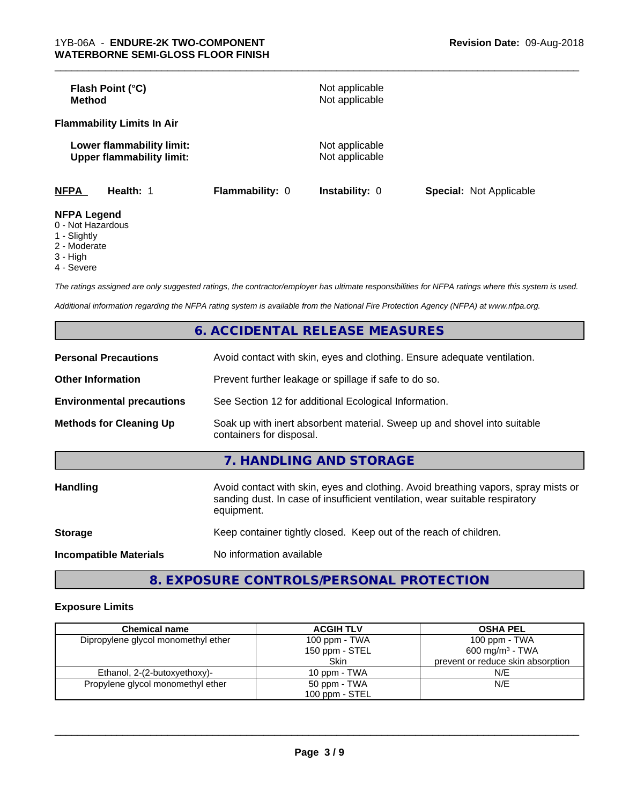| Flash Point (°C)<br><b>Method</b>                                                                                                        |                 | Not applicable<br>Not applicable |                                |
|------------------------------------------------------------------------------------------------------------------------------------------|-----------------|----------------------------------|--------------------------------|
| <b>Flammability Limits In Air</b>                                                                                                        |                 |                                  |                                |
| Lower flammability limit:<br><b>Upper flammability limit:</b>                                                                            |                 | Not applicable<br>Not applicable |                                |
| <b>NFPA</b><br>Health: 1                                                                                                                 | Flammability: 0 | Instability: 0                   | <b>Special: Not Applicable</b> |
| <b>NFPA Legend</b><br>$\bigcap$ N at $\bigcup$ $\bigcup$ $\bigcup$ $\bigcup$ $\bigcup$ $\bigcup$ $\bigcup$ $\bigcup$ $\bigcup$ $\bigcup$ |                 |                                  |                                |

- 0 Not Hazardous
- 1 Slightly
- 2 Moderate
- 3 High
- 4 Severe

*The ratings assigned are only suggested ratings, the contractor/employer has ultimate responsibilities for NFPA ratings where this system is used.*

*Additional information regarding the NFPA rating system is available from the National Fire Protection Agency (NFPA) at www.nfpa.org.*

|                                  | 6. ACCIDENTAL RELEASE MEASURES                                                                                                                                                   |
|----------------------------------|----------------------------------------------------------------------------------------------------------------------------------------------------------------------------------|
| <b>Personal Precautions</b>      | Avoid contact with skin, eyes and clothing. Ensure adequate ventilation.                                                                                                         |
| <b>Other Information</b>         | Prevent further leakage or spillage if safe to do so.                                                                                                                            |
| <b>Environmental precautions</b> | See Section 12 for additional Ecological Information.                                                                                                                            |
| <b>Methods for Cleaning Up</b>   | Soak up with inert absorbent material. Sweep up and shovel into suitable<br>containers for disposal.                                                                             |
|                                  | 7. HANDLING AND STORAGE                                                                                                                                                          |
| <b>Handling</b>                  | Avoid contact with skin, eyes and clothing. Avoid breathing vapors, spray mists or<br>sanding dust. In case of insufficient ventilation, wear suitable respiratory<br>equipment. |
| <b>Storage</b>                   | Keep container tightly closed. Keep out of the reach of children.                                                                                                                |
| <b>Incompatible Materials</b>    | No information available                                                                                                                                                         |

**8. EXPOSURE CONTROLS/PERSONAL PROTECTION**

#### **Exposure Limits**

| <b>Chemical name</b>                | <b>ACGIH TLV</b> | <b>OSHA PEL</b>                   |
|-------------------------------------|------------------|-----------------------------------|
| Dipropylene glycol monomethyl ether | 100 ppm - TWA    | 100 ppm - TWA                     |
|                                     | 150 ppm - STEL   | 600 mg/m <sup>3</sup> - TWA       |
|                                     | Skin             | prevent or reduce skin absorption |
| Ethanol, 2-(2-butoxyethoxy)-        | 10 ppm - TWA     | N/E                               |
| Propylene glycol monomethyl ether   | 50 ppm - TWA     | N/E                               |
|                                     | 100 ppm - STEL   |                                   |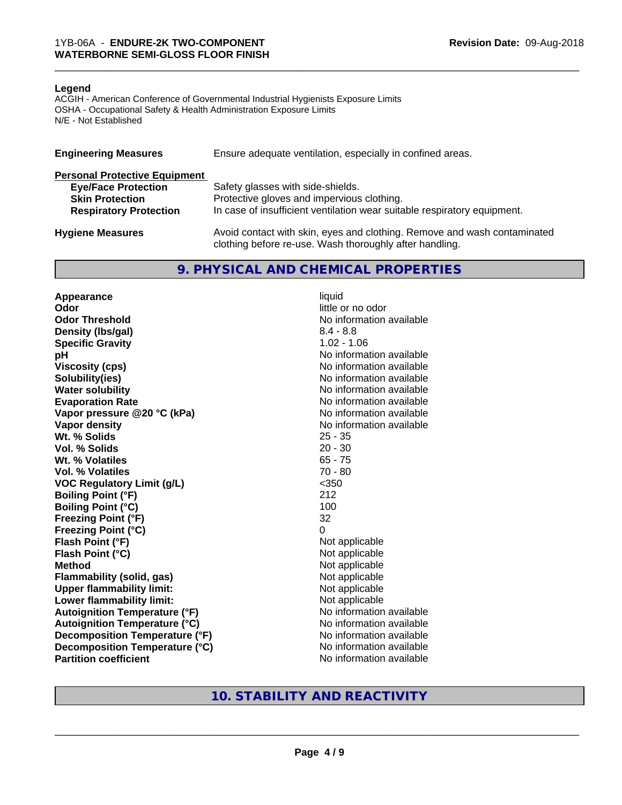#### **Legend**

ACGIH - American Conference of Governmental Industrial Hygienists Exposure Limits OSHA - Occupational Safety & Health Administration Exposure Limits N/E - Not Established

| <b>Engineering Measures</b>          | Ensure adequate ventilation, especially in confined areas.                                                                          |  |  |
|--------------------------------------|-------------------------------------------------------------------------------------------------------------------------------------|--|--|
| <b>Personal Protective Equipment</b> |                                                                                                                                     |  |  |
| <b>Eye/Face Protection</b>           | Safety glasses with side-shields.                                                                                                   |  |  |
| <b>Skin Protection</b>               | Protective gloves and impervious clothing.                                                                                          |  |  |
| <b>Respiratory Protection</b>        | In case of insufficient ventilation wear suitable respiratory equipment.                                                            |  |  |
| <b>Hygiene Measures</b>              | Avoid contact with skin, eyes and clothing. Remove and wash contaminated<br>clothing before re-use. Wash thoroughly after handling. |  |  |

#### **9. PHYSICAL AND CHEMICAL PROPERTIES**

**Appearance** liquid **Odor** little or no odor **Odor Threshold No information available No information available Density (lbs/gal)** 8.4 - 8.8 **Specific Gravity** 1.02 - 1.06 **pH pH**  $\blacksquare$ **Viscosity (cps)** No information available **Solubility(ies)** No information available **Water solubility** No information available **Evaporation Rate No information available No information available Vapor pressure @20 °C (kPa)** No information available **Vapor density**<br> **We Solids**<br>
We Solids
25 - 35 Wt. % Solids **Vol. % Solids** 20 - 30 **Wt. % Volatiles** 65 - 75 **Vol. % Volatiles** 70 - 80 **VOC Regulatory Limit (g/L)** <350 **Boiling Point (°F)** 212 **Boiling Point (°C)** 100 **Freezing Point (°F)** 32 **Freezing Point (°C)** 0 **Flash Point (°F)**<br> **Flash Point (°C)**<br> **Flash Point (°C)**<br> **Not** applicable<br>
Not applicable **Flash Point (°C) Method** Not applicable<br> **Flammability (solid, gas)** Not applicable Not applicable **Flammability (solid, gas)**<br> **Upper flammability limit:**<br>
Upper flammability limit: **Upper flammability limit:**<br> **Lower flammability limit:** Not applicable Not applicable **Lower flammability limit: Autoignition Temperature (°F)** No information available **Autoignition Temperature (°C)** No information available **Decomposition Temperature (°F)** No information available **Decomposition Temperature (°C)** No information available **Partition coefficient** No information available

#### **10. STABILITY AND REACTIVITY**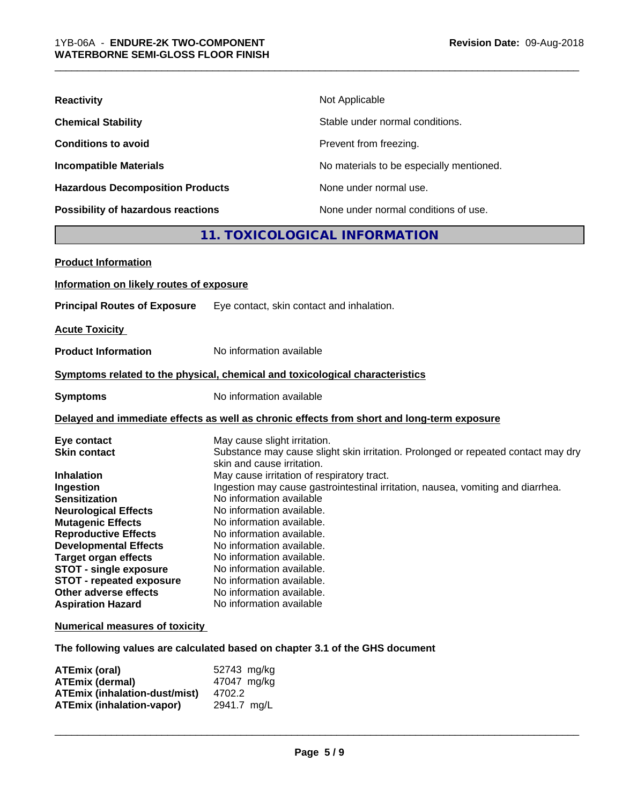| <b>Possibility of hazardous reactions</b> | None under normal conditions of use.     |  |  |
|-------------------------------------------|------------------------------------------|--|--|
| <b>Hazardous Decomposition Products</b>   | None under normal use.                   |  |  |
| <b>Incompatible Materials</b>             | No materials to be especially mentioned. |  |  |
| <b>Conditions to avoid</b>                | Prevent from freezing.                   |  |  |
| <b>Chemical Stability</b>                 | Stable under normal conditions.          |  |  |
| <b>Reactivity</b>                         | Not Applicable                           |  |  |

#### **11. TOXICOLOGICAL INFORMATION**

| <b>Product Information</b>                                                                                                                                                                                                                                                                                                                                                     |                                                                                                                                                                                                                                                                                                                                                                                                                                                                                                                                                                                  |
|--------------------------------------------------------------------------------------------------------------------------------------------------------------------------------------------------------------------------------------------------------------------------------------------------------------------------------------------------------------------------------|----------------------------------------------------------------------------------------------------------------------------------------------------------------------------------------------------------------------------------------------------------------------------------------------------------------------------------------------------------------------------------------------------------------------------------------------------------------------------------------------------------------------------------------------------------------------------------|
| Information on likely routes of exposure                                                                                                                                                                                                                                                                                                                                       |                                                                                                                                                                                                                                                                                                                                                                                                                                                                                                                                                                                  |
| <b>Principal Routes of Exposure</b>                                                                                                                                                                                                                                                                                                                                            | Eye contact, skin contact and inhalation.                                                                                                                                                                                                                                                                                                                                                                                                                                                                                                                                        |
| <b>Acute Toxicity</b>                                                                                                                                                                                                                                                                                                                                                          |                                                                                                                                                                                                                                                                                                                                                                                                                                                                                                                                                                                  |
| <b>Product Information</b>                                                                                                                                                                                                                                                                                                                                                     | No information available                                                                                                                                                                                                                                                                                                                                                                                                                                                                                                                                                         |
|                                                                                                                                                                                                                                                                                                                                                                                | Symptoms related to the physical, chemical and toxicological characteristics                                                                                                                                                                                                                                                                                                                                                                                                                                                                                                     |
| <b>Symptoms</b>                                                                                                                                                                                                                                                                                                                                                                | No information available                                                                                                                                                                                                                                                                                                                                                                                                                                                                                                                                                         |
|                                                                                                                                                                                                                                                                                                                                                                                | Delayed and immediate effects as well as chronic effects from short and long-term exposure                                                                                                                                                                                                                                                                                                                                                                                                                                                                                       |
| Eye contact<br><b>Skin contact</b><br><b>Inhalation</b><br>Ingestion<br><b>Sensitization</b><br><b>Neurological Effects</b><br><b>Mutagenic Effects</b><br><b>Reproductive Effects</b><br><b>Developmental Effects</b><br><b>Target organ effects</b><br><b>STOT - single exposure</b><br><b>STOT - repeated exposure</b><br>Other adverse effects<br><b>Aspiration Hazard</b> | May cause slight irritation.<br>Substance may cause slight skin irritation. Prolonged or repeated contact may dry<br>skin and cause irritation.<br>May cause irritation of respiratory tract.<br>Ingestion may cause gastrointestinal irritation, nausea, vomiting and diarrhea.<br>No information available<br>No information available.<br>No information available.<br>No information available.<br>No information available.<br>No information available.<br>No information available.<br>No information available.<br>No information available.<br>No information available |
| <b>Numerical measures of toxicity</b>                                                                                                                                                                                                                                                                                                                                          |                                                                                                                                                                                                                                                                                                                                                                                                                                                                                                                                                                                  |

**The following values are calculated based on chapter 3.1 of the GHS document**

| ATEmix (oral)                        | 52743 mg/kg |
|--------------------------------------|-------------|
| <b>ATEmix (dermal)</b>               | 47047 mg/kg |
| <b>ATEmix (inhalation-dust/mist)</b> | 4702.2      |
| ATEmix (inhalation-vapor)            | 2941.7 ma/L |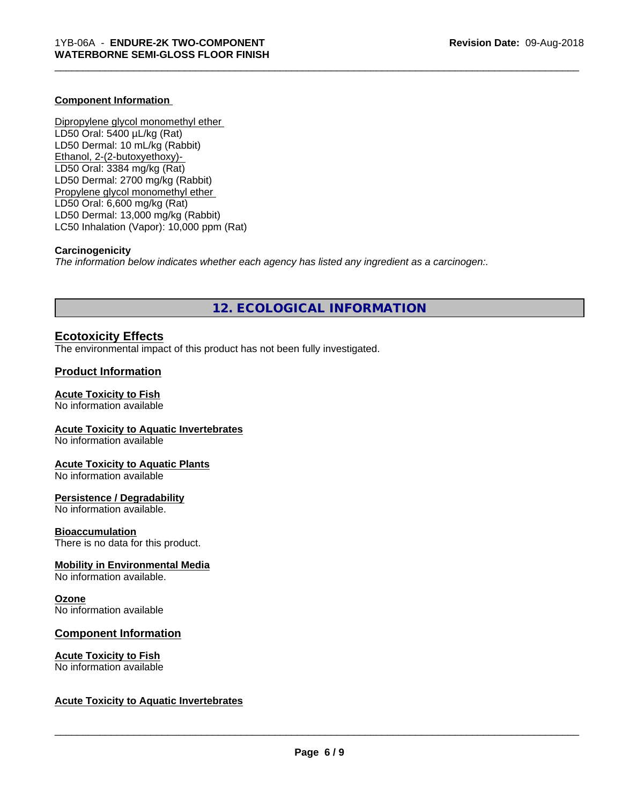#### **Component Information**

Dipropylene glycol monomethyl ether LD50 Oral: 5400 µL/kg (Rat) LD50 Dermal: 10 mL/kg (Rabbit) Ethanol, 2-(2-butoxyethoxy)- LD50 Oral: 3384 mg/kg (Rat) LD50 Dermal: 2700 mg/kg (Rabbit) Propylene glycol monomethyl ether LD50 Oral: 6,600 mg/kg (Rat) LD50 Dermal: 13,000 mg/kg (Rabbit) LC50 Inhalation (Vapor): 10,000 ppm (Rat)

#### **Carcinogenicity**

*The information below indicateswhether each agency has listed any ingredient as a carcinogen:.*

#### **12. ECOLOGICAL INFORMATION**

\_\_\_\_\_\_\_\_\_\_\_\_\_\_\_\_\_\_\_\_\_\_\_\_\_\_\_\_\_\_\_\_\_\_\_\_\_\_\_\_\_\_\_\_\_\_\_\_\_\_\_\_\_\_\_\_\_\_\_\_\_\_\_\_\_\_\_\_\_\_\_\_\_\_\_\_\_\_\_\_\_\_\_\_\_\_\_\_\_\_\_\_\_

#### **Ecotoxicity Effects**

The environmental impact of this product has not been fully investigated.

#### **Product Information**

#### **Acute Toxicity to Fish**

No information available

#### **Acute Toxicity to Aquatic Invertebrates**

No information available

#### **Acute Toxicity to Aquatic Plants**

No information available

#### **Persistence / Degradability**

No information available.

#### **Bioaccumulation**

There is no data for this product.

#### **Mobility in Environmental Media**

No information available.

#### **Ozone**

No information available

#### **Component Information**

#### **Acute Toxicity to Fish** No information available

#### **Acute Toxicity to Aquatic Invertebrates**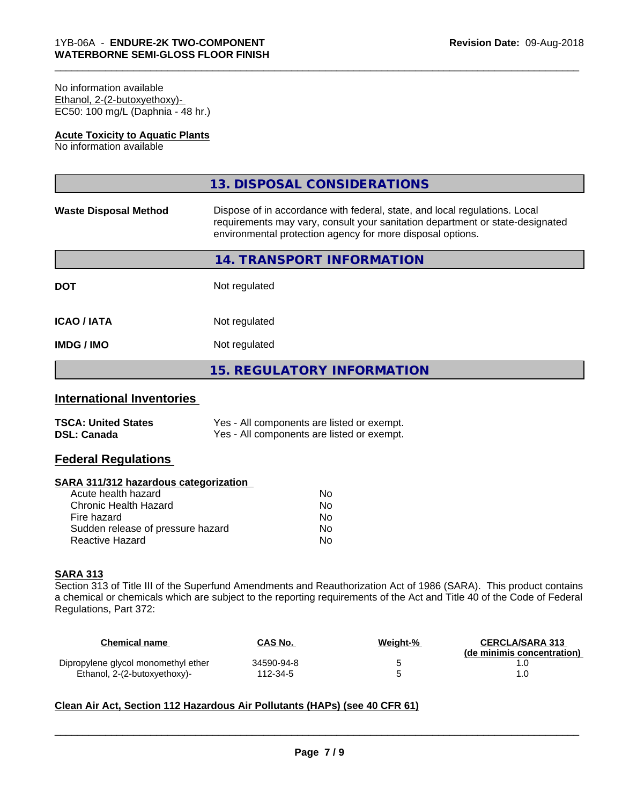#### No information available Ethanol, 2-(2-butoxyethoxy)- EC50: 100 mg/L (Daphnia - 48 hr.)

#### **Acute Toxicity to Aquatic Plants**

No information available

|                              | 13. DISPOSAL CONSIDERATIONS                                                                                                                                                                                               |
|------------------------------|---------------------------------------------------------------------------------------------------------------------------------------------------------------------------------------------------------------------------|
| <b>Waste Disposal Method</b> | Dispose of in accordance with federal, state, and local regulations. Local<br>requirements may vary, consult your sanitation department or state-designated<br>environmental protection agency for more disposal options. |
|                              | 14. TRANSPORT INFORMATION                                                                                                                                                                                                 |
| <b>DOT</b>                   | Not regulated                                                                                                                                                                                                             |
| <b>ICAO/IATA</b>             | Not regulated                                                                                                                                                                                                             |
| <b>IMDG/IMO</b>              | Not regulated                                                                                                                                                                                                             |
|                              | <b>15. REGULATORY INFORMATION</b>                                                                                                                                                                                         |
|                              |                                                                                                                                                                                                                           |

\_\_\_\_\_\_\_\_\_\_\_\_\_\_\_\_\_\_\_\_\_\_\_\_\_\_\_\_\_\_\_\_\_\_\_\_\_\_\_\_\_\_\_\_\_\_\_\_\_\_\_\_\_\_\_\_\_\_\_\_\_\_\_\_\_\_\_\_\_\_\_\_\_\_\_\_\_\_\_\_\_\_\_\_\_\_\_\_\_\_\_\_\_

#### **International Inventories**

| <b>TSCA: United States</b> | Yes - All components are listed or exempt. |
|----------------------------|--------------------------------------------|
| <b>DSL: Canada</b>         | Yes - All components are listed or exempt. |

#### **Federal Regulations**

#### **SARA 311/312 hazardous categorization**

| Acute health hazard               | N٥ |
|-----------------------------------|----|
| Chronic Health Hazard             | N٥ |
| Fire hazard                       | Nο |
| Sudden release of pressure hazard | N٥ |
| Reactive Hazard                   | N٥ |

#### **SARA 313**

Section 313 of Title III of the Superfund Amendments and Reauthorization Act of 1986 (SARA). This product contains a chemical or chemicals which are subject to the reporting requirements of the Act and Title 40 of the Code of Federal Regulations, Part 372:

| Chemical name                       | <b>CAS No.</b> | Weight-% | <b>CERCLA/SARA 313</b><br>(de minimis concentration) |
|-------------------------------------|----------------|----------|------------------------------------------------------|
| Dipropylene glycol monomethyl ether | 34590-94-8     |          |                                                      |
| Ethanol, 2-(2-butoxyethoxy)-        | 112-34-5       |          |                                                      |

#### **Clean Air Act,Section 112 Hazardous Air Pollutants (HAPs) (see 40 CFR 61)**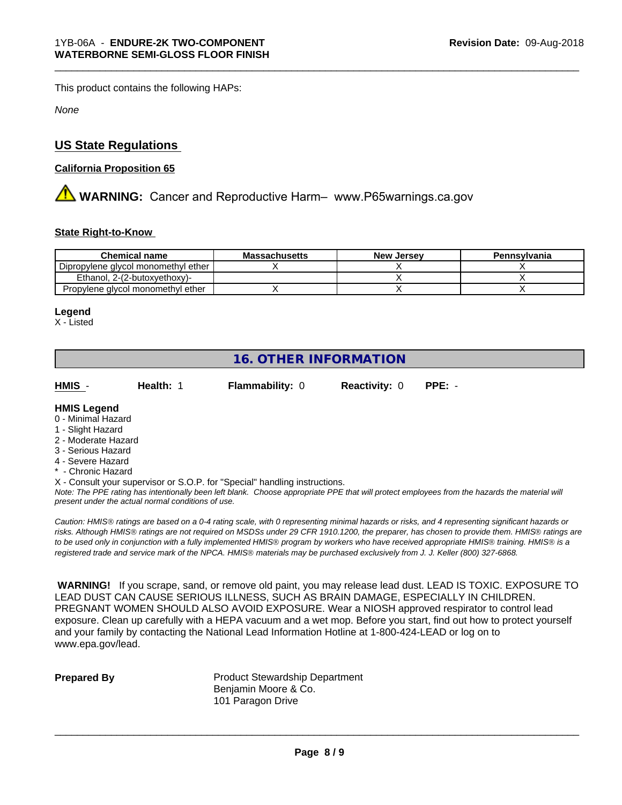This product contains the following HAPs:

*None*

#### **US State Regulations**

#### **California Proposition 65**

**AN** WARNING: Cancer and Reproductive Harm– www.P65warnings.ca.gov

#### **State Right-to-Know**

| <b>Chemical name</b>                | <b>Massachusetts</b> | <b>New Jersey</b> | Pennsylvania |
|-------------------------------------|----------------------|-------------------|--------------|
| Dipropylene glycol monomethyl ether |                      |                   |              |
| Ethanol. 2-(2-butoxvethoxy)-        |                      |                   |              |
| Propylene glycol monomethyl ether   |                      |                   |              |

#### **Legend**

X - Listed

### **16. OTHER INFORMATION**

**HMIS** - **Health:** 1 **Flammability:** 0 **Reactivity:** 0 **PPE:** -

\_\_\_\_\_\_\_\_\_\_\_\_\_\_\_\_\_\_\_\_\_\_\_\_\_\_\_\_\_\_\_\_\_\_\_\_\_\_\_\_\_\_\_\_\_\_\_\_\_\_\_\_\_\_\_\_\_\_\_\_\_\_\_\_\_\_\_\_\_\_\_\_\_\_\_\_\_\_\_\_\_\_\_\_\_\_\_\_\_\_\_\_\_

#### **HMIS Legend**

- 0 Minimal Hazard
- 1 Slight Hazard
- 2 Moderate Hazard
- 3 Serious Hazard
- 4 Severe Hazard
- \* Chronic Hazard
- X Consult your supervisor or S.O.P. for "Special" handling instructions.

*Note: The PPE rating has intentionally been left blank. Choose appropriate PPE that will protect employees from the hazards the material will present under the actual normal conditions of use.*

*Caution: HMISÒ ratings are based on a 0-4 rating scale, with 0 representing minimal hazards or risks, and 4 representing significant hazards or risks. Although HMISÒ ratings are not required on MSDSs under 29 CFR 1910.1200, the preparer, has chosen to provide them. HMISÒ ratings are to be used only in conjunction with a fully implemented HMISÒ program by workers who have received appropriate HMISÒ training. HMISÒ is a registered trade and service mark of the NPCA. HMISÒ materials may be purchased exclusively from J. J. Keller (800) 327-6868.*

 **WARNING!** If you scrape, sand, or remove old paint, you may release lead dust. LEAD IS TOXIC. EXPOSURE TO LEAD DUST CAN CAUSE SERIOUS ILLNESS, SUCH AS BRAIN DAMAGE, ESPECIALLY IN CHILDREN. PREGNANT WOMEN SHOULD ALSO AVOID EXPOSURE.Wear a NIOSH approved respirator to control lead exposure. Clean up carefully with a HEPA vacuum and a wet mop. Before you start, find out how to protect yourself and your family by contacting the National Lead Information Hotline at 1-800-424-LEAD or log on to www.epa.gov/lead.

**Prepared By** Product Stewardship Department Benjamin Moore & Co. 101 Paragon Drive